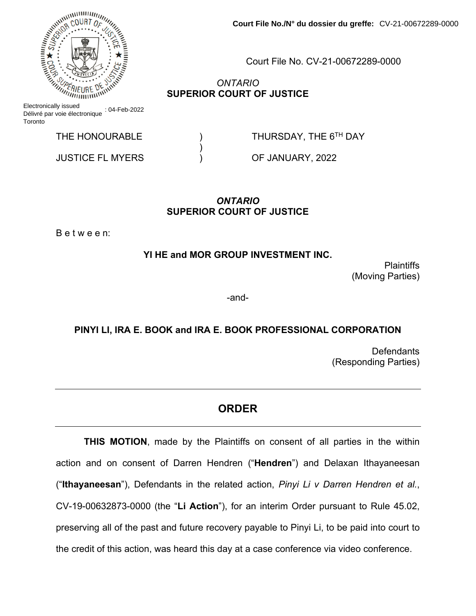Electronically issued Délivré par voie électronique : 04-Feb-2022 **Toronto** 

 $)$ 

JUSTICE FL MYERS ) OF JANUARY, 2022

 **Court File No./N° du dossier du greffe:** CV-21-00672289-0000

Court File No. CV-21-00672289-0000

*ONTARIO* **SUPERIOR COURT OF JUSTICE**

THE HONOURABLE  $\overline{ }$  ) THURSDAY, THE 6<sup>TH</sup> DAY

## *ONTARIO*  **SUPERIOR COURT OF JUSTICE**

B e t w e e n:

**YI HE and MOR GROUP INVESTMENT INC.** 

**Plaintiffs** (Moving Parties)

-and-

**PINYI LI, IRA E. BOOK and IRA E. BOOK PROFESSIONAL CORPORATION** 

**Defendants** (Responding Parties)

## **ORDER**

**THIS MOTION**, made by the Plaintiffs on consent of all parties in the within action and on consent of Darren Hendren ("**Hendren**") and Delaxan Ithayaneesan ("**Ithayaneesan**"), Defendants in the related action, *Pinyi Li v Darren Hendren et al.*, CV-19-00632873-0000 (the "**Li Action**"), for an interim Order pursuant to Rule 45.02, preserving all of the past and future recovery payable to Pinyi Li, to be paid into court to the credit of this action, was heard this day at a case conference via video conference.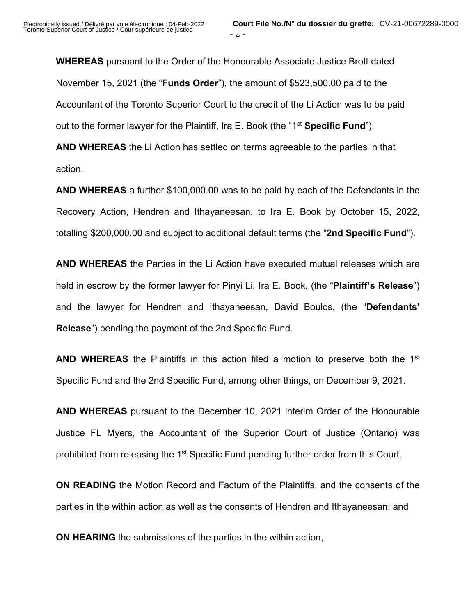**WHEREAS** pursuant to the Order of the Honourable Associate Justice Brott dated November 15, 2021 (the "**Funds Order**"), the amount of \$523,500.00 paid to the Accountant of the Toronto Superior Court to the credit of the Li Action was to be paid out to the former lawyer for the Plaintiff, Ira E. Book (the "1st **Specific Fund**"). **AND WHEREAS** the Li Action has settled on terms agreeable to the parties in that action.

**AND WHEREAS** a further \$100,000.00 was to be paid by each of the Defendants in the Recovery Action, Hendren and Ithayaneesan, to Ira E. Book by October 15, 2022, totalling \$200,000.00 and subject to additional default terms (the "**2nd Specific Fund**").

**AND WHEREAS** the Parties in the Li Action have executed mutual releases which are held in escrow by the former lawyer for Pinyi Li, Ira E. Book, (the "**Plaintiff's Release**") and the lawyer for Hendren and Ithayaneesan, David Boulos, (the "**Defendants' Release**") pending the payment of the 2nd Specific Fund.

**AND WHEREAS** the Plaintiffs in this action filed a motion to preserve both the 1<sup>st</sup> Specific Fund and the 2nd Specific Fund, among other things, on December 9, 2021.

**AND WHEREAS** pursuant to the December 10, 2021 interim Order of the Honourable Justice FL Myers, the Accountant of the Superior Court of Justice (Ontario) was prohibited from releasing the 1<sup>st</sup> Specific Fund pending further order from this Court.

**ON READING** the Motion Record and Factum of the Plaintiffs, and the consents of the parties in the within action as well as the consents of Hendren and Ithayaneesan; and

**ON HEARING** the submissions of the parties in the within action,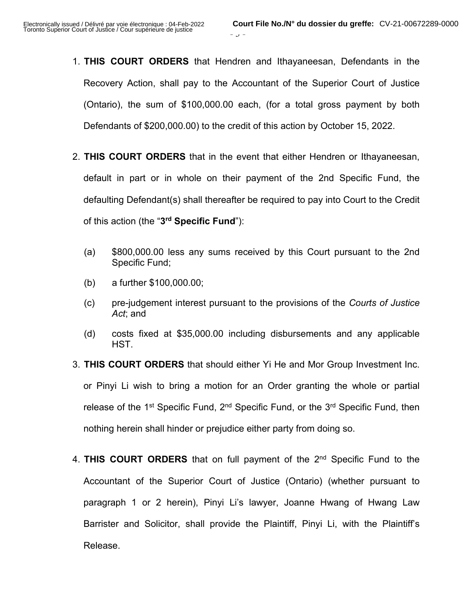1. **THIS COURT ORDERS** that Hendren and Ithayaneesan, Defendants in the Recovery Action, shall pay to the Accountant of the Superior Court of Justice (Ontario), the sum of \$100,000.00 each, (for a total gross payment by both Defendants of \$200,000.00) to the credit of this action by October 15, 2022.

 $J -$ 

- 2. **THIS COURT ORDERS** that in the event that either Hendren or Ithayaneesan, default in part or in whole on their payment of the 2nd Specific Fund, the defaulting Defendant(s) shall thereafter be required to pay into Court to the Credit of this action (the "**3rd Specific Fund**"):
	- (a) \$800,000.00 less any sums received by this Court pursuant to the 2nd Specific Fund;
	- (b) a further \$100,000.00;
	- (c) pre-judgement interest pursuant to the provisions of the *Courts of Justice Act*; and
	- (d) costs fixed at \$35,000.00 including disbursements and any applicable HST.
- 3. **THIS COURT ORDERS** that should either Yi He and Mor Group Investment Inc. or Pinyi Li wish to bring a motion for an Order granting the whole or partial release of the  $1<sup>st</sup>$  Specific Fund,  $2<sup>nd</sup>$  Specific Fund, or the  $3<sup>rd</sup>$  Specific Fund, then nothing herein shall hinder or prejudice either party from doing so.
- 4. **THIS COURT ORDERS** that on full payment of the 2nd Specific Fund to the Accountant of the Superior Court of Justice (Ontario) (whether pursuant to paragraph 1 or 2 herein), Pinyi Li's lawyer, Joanne Hwang of Hwang Law Barrister and Solicitor, shall provide the Plaintiff, Pinyi Li, with the Plaintiff's Release.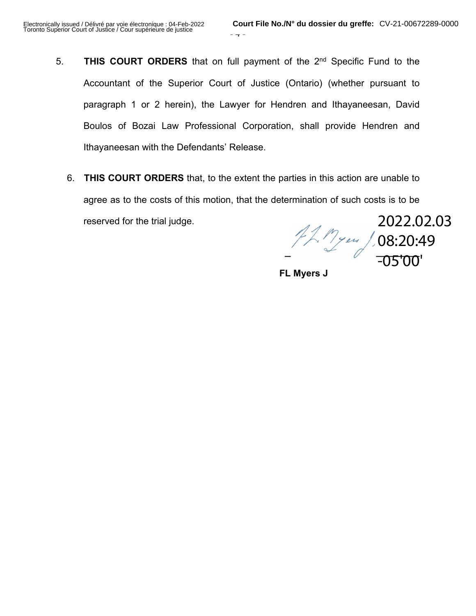- 5. **THIS COURT ORDERS** that on full payment of the 2nd Specific Fund to the Accountant of the Superior Court of Justice (Ontario) (whether pursuant to paragraph 1 or 2 herein), the Lawyer for Hendren and Ithayaneesan, David Boulos of Bozai Law Professional Corporation, shall provide Hendren and Ithayaneesan with the Defendants' Release.
	- 6. **THIS COURT ORDERS** that, to the extent the parties in this action are unable to agree as to the costs of this motion, that the determination of such costs is to be reserved for the trial judge. 2022.02.03

**\_\_\_\_\_\_\_\_\_\_\_\_\_\_\_\_\_\_\_\_\_\_\_\_\_\_**  08:20:49 -05'00'

**FL Myers J**